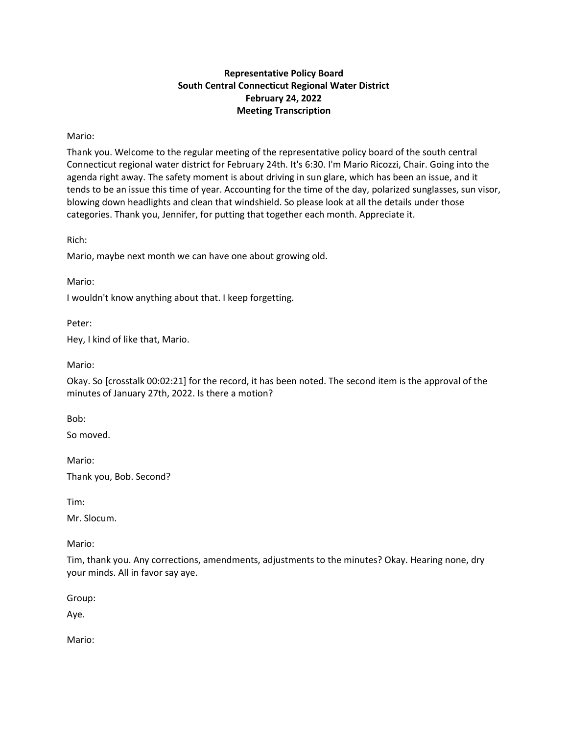# **Representative Policy Board South Central Connecticut Regional Water District February 24, 2022 Meeting Transcription**

# Mario:

Thank you. Welcome to the regular meeting of the representative policy board of the south central Connecticut regional water district for February 24th. It's 6:30. I'm Mario Ricozzi, Chair. Going into the agenda right away. The safety moment is about driving in sun glare, which has been an issue, and it tends to be an issue this time of year. Accounting for the time of the day, polarized sunglasses, sun visor, blowing down headlights and clean that windshield. So please look at all the details under those categories. Thank you, Jennifer, for putting that together each month. Appreciate it.

Rich:

Mario, maybe next month we can have one about growing old.

Mario:

I wouldn't know anything about that. I keep forgetting.

Peter:

Hey, I kind of like that, Mario.

Mario:

Okay. So [crosstalk 00:02:21] for the record, it has been noted. The second item is the approval of the minutes of January 27th, 2022. Is there a motion?

Bob:

So moved.

Mario:

Thank you, Bob. Second?

Tim:

Mr. Slocum.

Mario:

Tim, thank you. Any corrections, amendments, adjustments to the minutes? Okay. Hearing none, dry your minds. All in favor say aye.

Group:

Aye.

Mario: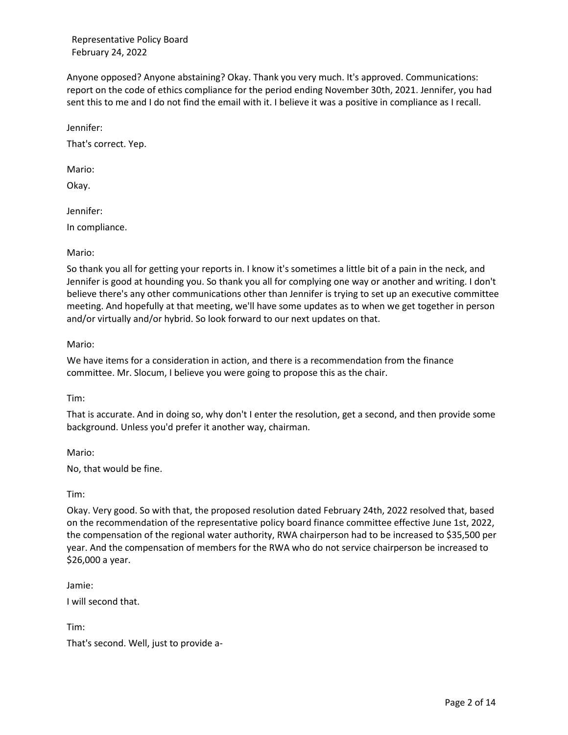Anyone opposed? Anyone abstaining? Okay. Thank you very much. It's approved. Communications: report on the code of ethics compliance for the period ending November 30th, 2021. Jennifer, you had sent this to me and I do not find the email with it. I believe it was a positive in compliance as I recall.

Jennifer:

That's correct. Yep.

Mario:

Okay.

Jennifer:

In compliance.

### Mario:

So thank you all for getting your reports in. I know it's sometimes a little bit of a pain in the neck, and Jennifer is good at hounding you. So thank you all for complying one way or another and writing. I don't believe there's any other communications other than Jennifer is trying to set up an executive committee meeting. And hopefully at that meeting, we'll have some updates as to when we get together in person and/or virtually and/or hybrid. So look forward to our next updates on that.

### Mario:

We have items for a consideration in action, and there is a recommendation from the finance committee. Mr. Slocum, I believe you were going to propose this as the chair.

Tim:

That is accurate. And in doing so, why don't I enter the resolution, get a second, and then provide some background. Unless you'd prefer it another way, chairman.

Mario:

No, that would be fine.

Tim:

Okay. Very good. So with that, the proposed resolution dated February 24th, 2022 resolved that, based on the recommendation of the representative policy board finance committee effective June 1st, 2022, the compensation of the regional water authority, RWA chairperson had to be increased to \$35,500 per year. And the compensation of members for the RWA who do not service chairperson be increased to \$26,000 a year.

Jamie:

I will second that.

Tim:

That's second. Well, just to provide a-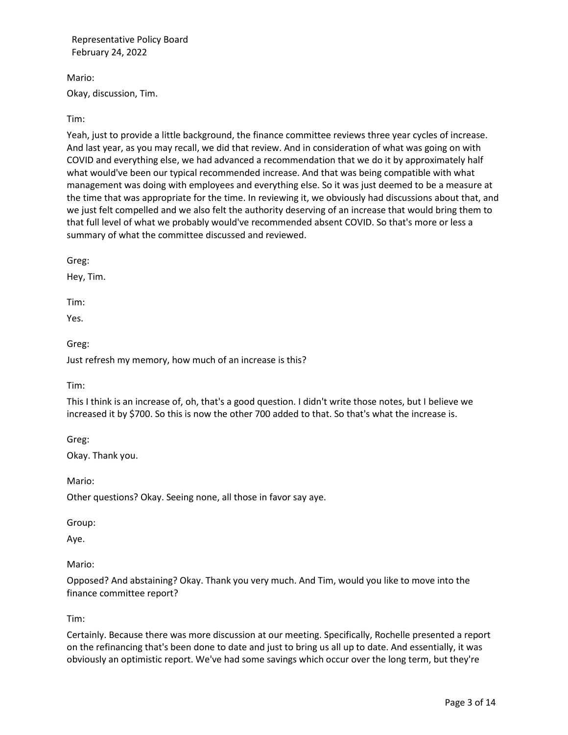Mario: Okay, discussion, Tim.

# Tim:

Yeah, just to provide a little background, the finance committee reviews three year cycles of increase. And last year, as you may recall, we did that review. And in consideration of what was going on with COVID and everything else, we had advanced a recommendation that we do it by approximately half what would've been our typical recommended increase. And that was being compatible with what management was doing with employees and everything else. So it was just deemed to be a measure at the time that was appropriate for the time. In reviewing it, we obviously had discussions about that, and we just felt compelled and we also felt the authority deserving of an increase that would bring them to that full level of what we probably would've recommended absent COVID. So that's more or less a summary of what the committee discussed and reviewed.

Greg:

Hey, Tim.

Tim:

Yes.

Greg:

Just refresh my memory, how much of an increase is this?

Tim:

This I think is an increase of, oh, that's a good question. I didn't write those notes, but I believe we increased it by \$700. So this is now the other 700 added to that. So that's what the increase is.

Greg:

Okay. Thank you.

Other questions? Okay. Seeing none, all those in favor say aye.

Group:

Mario:

Aye.

Mario:

Opposed? And abstaining? Okay. Thank you very much. And Tim, would you like to move into the finance committee report?

Tim:

Certainly. Because there was more discussion at our meeting. Specifically, Rochelle presented a report on the refinancing that's been done to date and just to bring us all up to date. And essentially, it was obviously an optimistic report. We've had some savings which occur over the long term, but they're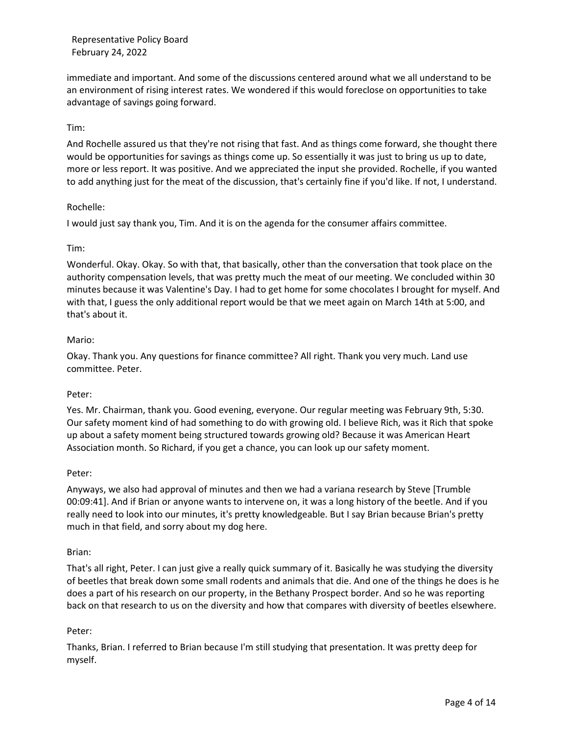immediate and important. And some of the discussions centered around what we all understand to be an environment of rising interest rates. We wondered if this would foreclose on opportunities to take advantage of savings going forward.

## Tim:

And Rochelle assured us that they're not rising that fast. And as things come forward, she thought there would be opportunities for savings as things come up. So essentially it was just to bring us up to date, more or less report. It was positive. And we appreciated the input she provided. Rochelle, if you wanted to add anything just for the meat of the discussion, that's certainly fine if you'd like. If not, I understand.

### Rochelle:

I would just say thank you, Tim. And it is on the agenda for the consumer affairs committee.

### Tim:

Wonderful. Okay. Okay. So with that, that basically, other than the conversation that took place on the authority compensation levels, that was pretty much the meat of our meeting. We concluded within 30 minutes because it was Valentine's Day. I had to get home for some chocolates I brought for myself. And with that, I guess the only additional report would be that we meet again on March 14th at 5:00, and that's about it.

### Mario:

Okay. Thank you. Any questions for finance committee? All right. Thank you very much. Land use committee. Peter.

### Peter:

Yes. Mr. Chairman, thank you. Good evening, everyone. Our regular meeting was February 9th, 5:30. Our safety moment kind of had something to do with growing old. I believe Rich, was it Rich that spoke up about a safety moment being structured towards growing old? Because it was American Heart Association month. So Richard, if you get a chance, you can look up our safety moment.

### Peter:

Anyways, we also had approval of minutes and then we had a variana research by Steve [Trumble 00:09:41]. And if Brian or anyone wants to intervene on, it was a long history of the beetle. And if you really need to look into our minutes, it's pretty knowledgeable. But I say Brian because Brian's pretty much in that field, and sorry about my dog here.

### Brian:

That's all right, Peter. I can just give a really quick summary of it. Basically he was studying the diversity of beetles that break down some small rodents and animals that die. And one of the things he does is he does a part of his research on our property, in the Bethany Prospect border. And so he was reporting back on that research to us on the diversity and how that compares with diversity of beetles elsewhere.

### Peter:

Thanks, Brian. I referred to Brian because I'm still studying that presentation. It was pretty deep for myself.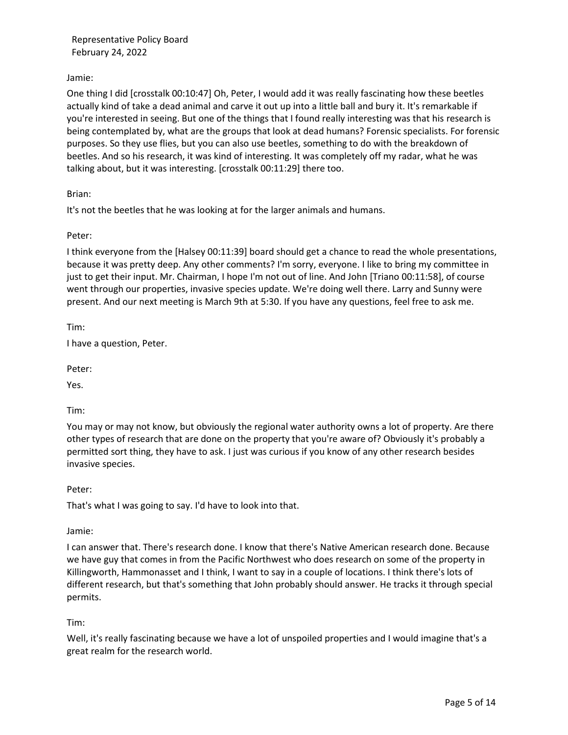Jamie:

One thing I did [crosstalk 00:10:47] Oh, Peter, I would add it was really fascinating how these beetles actually kind of take a dead animal and carve it out up into a little ball and bury it. It's remarkable if you're interested in seeing. But one of the things that I found really interesting was that his research is being contemplated by, what are the groups that look at dead humans? Forensic specialists. For forensic purposes. So they use flies, but you can also use beetles, something to do with the breakdown of beetles. And so his research, it was kind of interesting. It was completely off my radar, what he was talking about, but it was interesting. [crosstalk 00:11:29] there too.

Brian:

It's not the beetles that he was looking at for the larger animals and humans.

Peter:

I think everyone from the [Halsey 00:11:39] board should get a chance to read the whole presentations, because it was pretty deep. Any other comments? I'm sorry, everyone. I like to bring my committee in just to get their input. Mr. Chairman, I hope I'm not out of line. And John [Triano 00:11:58], of course went through our properties, invasive species update. We're doing well there. Larry and Sunny were present. And our next meeting is March 9th at 5:30. If you have any questions, feel free to ask me.

Tim:

I have a question, Peter.

Peter:

Yes.

Tim:

You may or may not know, but obviously the regional water authority owns a lot of property. Are there other types of research that are done on the property that you're aware of? Obviously it's probably a permitted sort thing, they have to ask. I just was curious if you know of any other research besides invasive species.

Peter:

That's what I was going to say. I'd have to look into that.

Jamie:

I can answer that. There's research done. I know that there's Native American research done. Because we have guy that comes in from the Pacific Northwest who does research on some of the property in Killingworth, Hammonasset and I think, I want to say in a couple of locations. I think there's lots of different research, but that's something that John probably should answer. He tracks it through special permits.

Tim:

Well, it's really fascinating because we have a lot of unspoiled properties and I would imagine that's a great realm for the research world.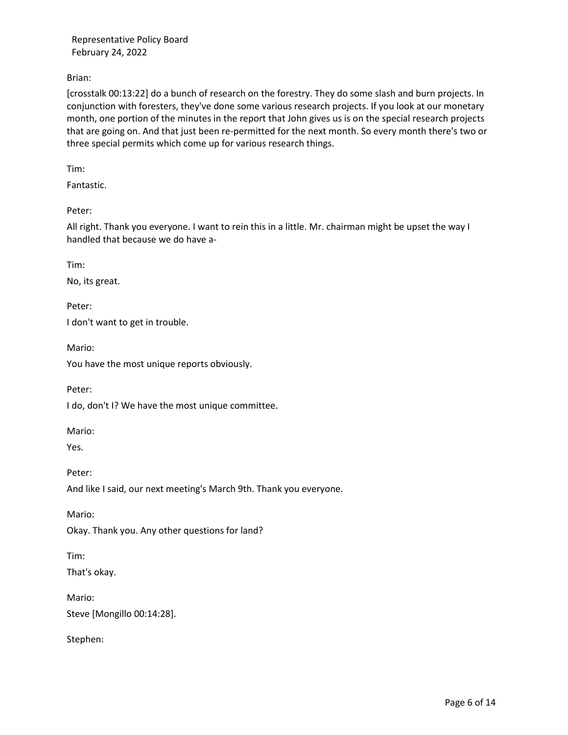Brian:

[crosstalk 00:13:22] do a bunch of research on the forestry. They do some slash and burn projects. In conjunction with foresters, they've done some various research projects. If you look at our monetary month, one portion of the minutes in the report that John gives us is on the special research projects that are going on. And that just been re-permitted for the next month. So every month there's two or three special permits which come up for various research things.

Tim:

Fantastic.

Peter:

All right. Thank you everyone. I want to rein this in a little. Mr. chairman might be upset the way I handled that because we do have a-

Tim:

No, its great.

Peter:

I don't want to get in trouble.

Mario:

You have the most unique reports obviously.

Peter:

I do, don't I? We have the most unique committee.

Mario:

Yes.

Peter:

And like I said, our next meeting's March 9th. Thank you everyone.

Mario:

Okay. Thank you. Any other questions for land?

Tim:

That's okay.

Mario: Steve [Mongillo 00:14:28].

Stephen: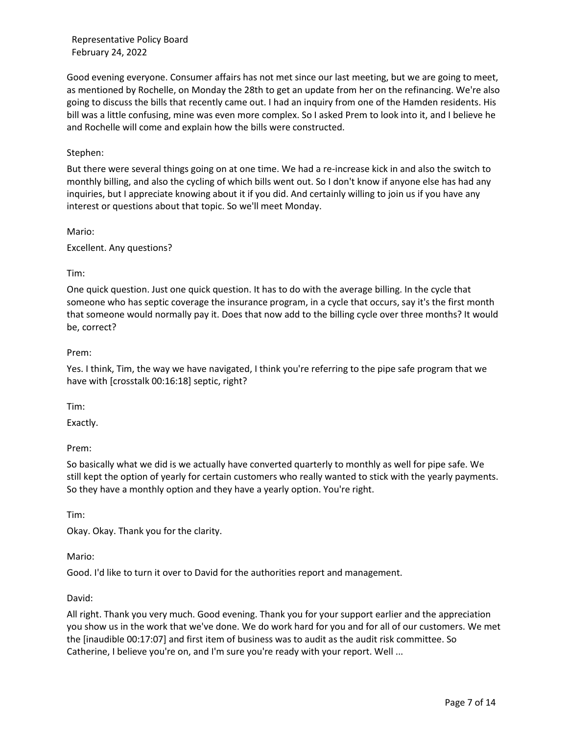Good evening everyone. Consumer affairs has not met since our last meeting, but we are going to meet, as mentioned by Rochelle, on Monday the 28th to get an update from her on the refinancing. We're also going to discuss the bills that recently came out. I had an inquiry from one of the Hamden residents. His bill was a little confusing, mine was even more complex. So I asked Prem to look into it, and I believe he and Rochelle will come and explain how the bills were constructed.

## Stephen:

But there were several things going on at one time. We had a re-increase kick in and also the switch to monthly billing, and also the cycling of which bills went out. So I don't know if anyone else has had any inquiries, but I appreciate knowing about it if you did. And certainly willing to join us if you have any interest or questions about that topic. So we'll meet Monday.

Mario:

Excellent. Any questions?

### Tim:

One quick question. Just one quick question. It has to do with the average billing. In the cycle that someone who has septic coverage the insurance program, in a cycle that occurs, say it's the first month that someone would normally pay it. Does that now add to the billing cycle over three months? It would be, correct?

### Prem:

Yes. I think, Tim, the way we have navigated, I think you're referring to the pipe safe program that we have with [crosstalk 00:16:18] septic, right?

Tim:

Exactly.

Prem:

So basically what we did is we actually have converted quarterly to monthly as well for pipe safe. We still kept the option of yearly for certain customers who really wanted to stick with the yearly payments. So they have a monthly option and they have a yearly option. You're right.

Tim:

Okay. Okay. Thank you for the clarity.

# Mario:

Good. I'd like to turn it over to David for the authorities report and management.

### David:

All right. Thank you very much. Good evening. Thank you for your support earlier and the appreciation you show us in the work that we've done. We do work hard for you and for all of our customers. We met the [inaudible 00:17:07] and first item of business was to audit as the audit risk committee. So Catherine, I believe you're on, and I'm sure you're ready with your report. Well ...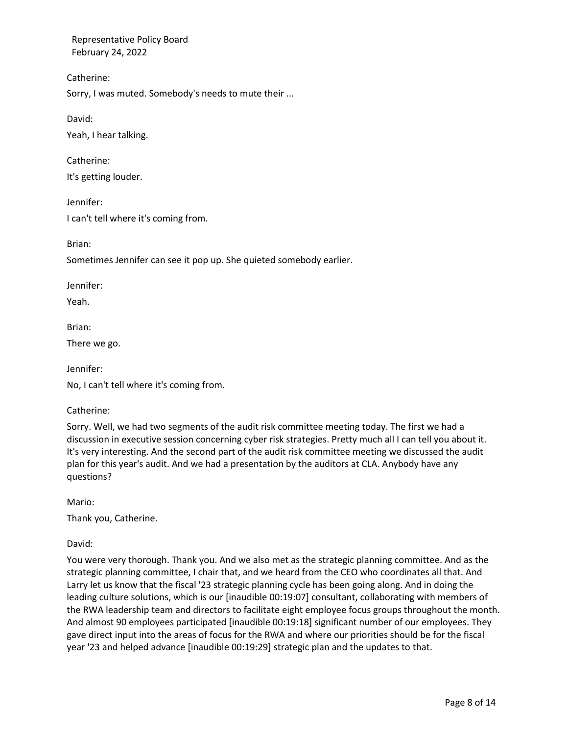Catherine:

Sorry, I was muted. Somebody's needs to mute their ...

David:

Yeah, I hear talking.

Catherine: It's getting louder.

Jennifer: I can't tell where it's coming from.

Brian:

Sometimes Jennifer can see it pop up. She quieted somebody earlier.

Jennifer:

Yeah.

Brian:

There we go.

Jennifer:

No, I can't tell where it's coming from.

Catherine:

Sorry. Well, we had two segments of the audit risk committee meeting today. The first we had a discussion in executive session concerning cyber risk strategies. Pretty much all I can tell you about it. It's very interesting. And the second part of the audit risk committee meeting we discussed the audit plan for this year's audit. And we had a presentation by the auditors at CLA. Anybody have any questions?

Mario:

Thank you, Catherine.

David:

You were very thorough. Thank you. And we also met as the strategic planning committee. And as the strategic planning committee, I chair that, and we heard from the CEO who coordinates all that. And Larry let us know that the fiscal '23 strategic planning cycle has been going along. And in doing the leading culture solutions, which is our [inaudible 00:19:07] consultant, collaborating with members of the RWA leadership team and directors to facilitate eight employee focus groups throughout the month. And almost 90 employees participated [inaudible 00:19:18] significant number of our employees. They gave direct input into the areas of focus for the RWA and where our priorities should be for the fiscal year '23 and helped advance [inaudible 00:19:29] strategic plan and the updates to that.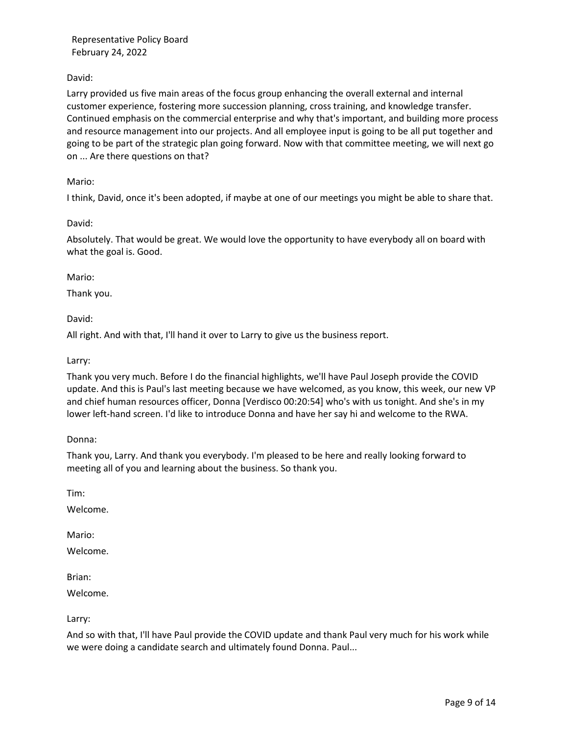# David:

Larry provided us five main areas of the focus group enhancing the overall external and internal customer experience, fostering more succession planning, cross training, and knowledge transfer. Continued emphasis on the commercial enterprise and why that's important, and building more process and resource management into our projects. And all employee input is going to be all put together and going to be part of the strategic plan going forward. Now with that committee meeting, we will next go on ... Are there questions on that?

## Mario:

I think, David, once it's been adopted, if maybe at one of our meetings you might be able to share that.

### David:

Absolutely. That would be great. We would love the opportunity to have everybody all on board with what the goal is. Good.

### Mario:

Thank you.

### David:

All right. And with that, I'll hand it over to Larry to give us the business report.

### Larry:

Thank you very much. Before I do the financial highlights, we'll have Paul Joseph provide the COVID update. And this is Paul's last meeting because we have welcomed, as you know, this week, our new VP and chief human resources officer, Donna [Verdisco 00:20:54] who's with us tonight. And she's in my lower left-hand screen. I'd like to introduce Donna and have her say hi and welcome to the RWA.

Donna:

Thank you, Larry. And thank you everybody. I'm pleased to be here and really looking forward to meeting all of you and learning about the business. So thank you.

Tim:

Welcome.

Mario:

Welcome.

Brian:

Welcome.

Larry:

And so with that, I'll have Paul provide the COVID update and thank Paul very much for his work while we were doing a candidate search and ultimately found Donna. Paul...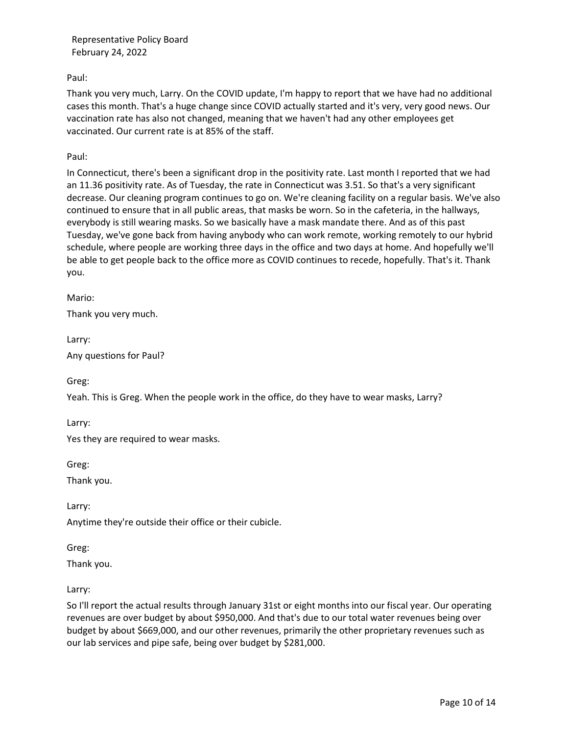Paul:

Thank you very much, Larry. On the COVID update, I'm happy to report that we have had no additional cases this month. That's a huge change since COVID actually started and it's very, very good news. Our vaccination rate has also not changed, meaning that we haven't had any other employees get vaccinated. Our current rate is at 85% of the staff.

Paul:

In Connecticut, there's been a significant drop in the positivity rate. Last month I reported that we had an 11.36 positivity rate. As of Tuesday, the rate in Connecticut was 3.51. So that's a very significant decrease. Our cleaning program continues to go on. We're cleaning facility on a regular basis. We've also continued to ensure that in all public areas, that masks be worn. So in the cafeteria, in the hallways, everybody is still wearing masks. So we basically have a mask mandate there. And as of this past Tuesday, we've gone back from having anybody who can work remote, working remotely to our hybrid schedule, where people are working three days in the office and two days at home. And hopefully we'll be able to get people back to the office more as COVID continues to recede, hopefully. That's it. Thank you.

Mario:

Thank you very much.

Larry: Any questions for Paul?

Greg:

Yeah. This is Greg. When the people work in the office, do they have to wear masks, Larry?

Larry:

Yes they are required to wear masks.

Greg:

Thank you.

Larry:

Anytime they're outside their office or their cubicle.

Greg:

Thank you.

Larry:

So I'll report the actual results through January 31st or eight months into our fiscal year. Our operating revenues are over budget by about \$950,000. And that's due to our total water revenues being over budget by about \$669,000, and our other revenues, primarily the other proprietary revenues such as our lab services and pipe safe, being over budget by \$281,000.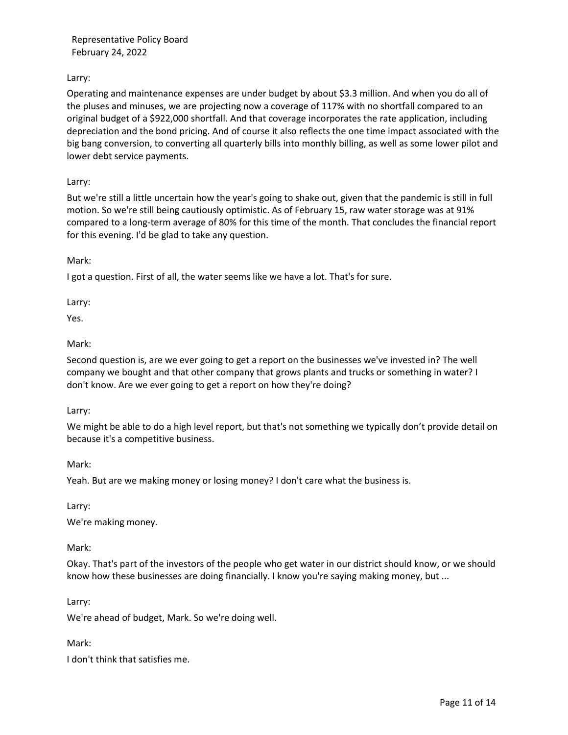# Larry:

Operating and maintenance expenses are under budget by about \$3.3 million. And when you do all of the pluses and minuses, we are projecting now a coverage of 117% with no shortfall compared to an original budget of a \$922,000 shortfall. And that coverage incorporates the rate application, including depreciation and the bond pricing. And of course it also reflects the one time impact associated with the big bang conversion, to converting all quarterly bills into monthly billing, as well as some lower pilot and lower debt service payments.

Larry:

But we're still a little uncertain how the year's going to shake out, given that the pandemic is still in full motion. So we're still being cautiously optimistic. As of February 15, raw water storage was at 91% compared to a long-term average of 80% for this time of the month. That concludes the financial report for this evening. I'd be glad to take any question.

Mark:

I got a question. First of all, the water seems like we have a lot. That's for sure.

Larry:

Yes.

### Mark:

Second question is, are we ever going to get a report on the businesses we've invested in? The well company we bought and that other company that grows plants and trucks or something in water? I don't know. Are we ever going to get a report on how they're doing?

Larry:

We might be able to do a high level report, but that's not something we typically don't provide detail on because it's a competitive business.

Mark:

Yeah. But are we making money or losing money? I don't care what the business is.

Larry:

We're making money.

Mark:

Okay. That's part of the investors of the people who get water in our district should know, or we should know how these businesses are doing financially. I know you're saying making money, but ...

Larry:

We're ahead of budget, Mark. So we're doing well.

Mark:

I don't think that satisfies me.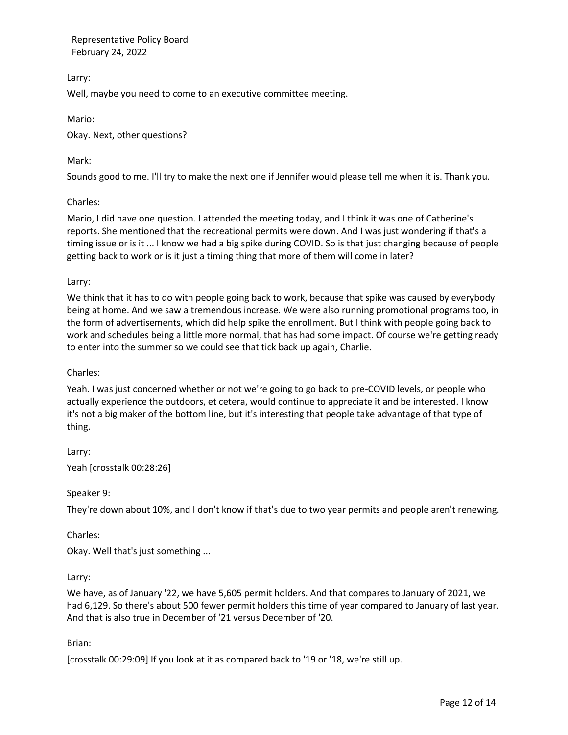Larry:

Well, maybe you need to come to an executive committee meeting.

Mario:

Okay. Next, other questions?

# Mark:

Sounds good to me. I'll try to make the next one if Jennifer would please tell me when it is. Thank you.

# Charles:

Mario, I did have one question. I attended the meeting today, and I think it was one of Catherine's reports. She mentioned that the recreational permits were down. And I was just wondering if that's a timing issue or is it ... I know we had a big spike during COVID. So is that just changing because of people getting back to work or is it just a timing thing that more of them will come in later?

# Larry:

We think that it has to do with people going back to work, because that spike was caused by everybody being at home. And we saw a tremendous increase. We were also running promotional programs too, in the form of advertisements, which did help spike the enrollment. But I think with people going back to work and schedules being a little more normal, that has had some impact. Of course we're getting ready to enter into the summer so we could see that tick back up again, Charlie.

# Charles:

Yeah. I was just concerned whether or not we're going to go back to pre-COVID levels, or people who actually experience the outdoors, et cetera, would continue to appreciate it and be interested. I know it's not a big maker of the bottom line, but it's interesting that people take advantage of that type of thing.

Larry: Yeah [crosstalk 00:28:26]

# Speaker 9:

They're down about 10%, and I don't know if that's due to two year permits and people aren't renewing.

Charles:

Okay. Well that's just something ...

# Larry:

We have, as of January '22, we have 5,605 permit holders. And that compares to January of 2021, we had 6,129. So there's about 500 fewer permit holders this time of year compared to January of last year. And that is also true in December of '21 versus December of '20.

# Brian:

[crosstalk 00:29:09] If you look at it as compared back to '19 or '18, we're still up.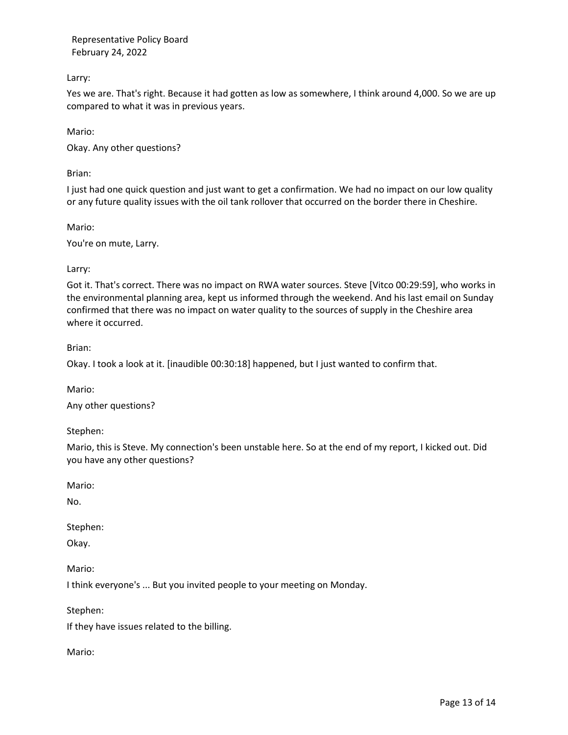Larry:

Yes we are. That's right. Because it had gotten as low as somewhere, I think around 4,000. So we are up compared to what it was in previous years.

Mario:

Okay. Any other questions?

Brian:

I just had one quick question and just want to get a confirmation. We had no impact on our low quality or any future quality issues with the oil tank rollover that occurred on the border there in Cheshire.

Mario:

You're on mute, Larry.

Larry:

Got it. That's correct. There was no impact on RWA water sources. Steve [Vitco 00:29:59], who works in the environmental planning area, kept us informed through the weekend. And his last email on Sunday confirmed that there was no impact on water quality to the sources of supply in the Cheshire area where it occurred.

Brian:

Okay. I took a look at it. [inaudible 00:30:18] happened, but I just wanted to confirm that.

Mario:

Any other questions?

Stephen:

Mario, this is Steve. My connection's been unstable here. So at the end of my report, I kicked out. Did you have any other questions?

Mario:

No.

Stephen:

Okay.

Mario:

I think everyone's ... But you invited people to your meeting on Monday.

Stephen:

If they have issues related to the billing.

Mario: